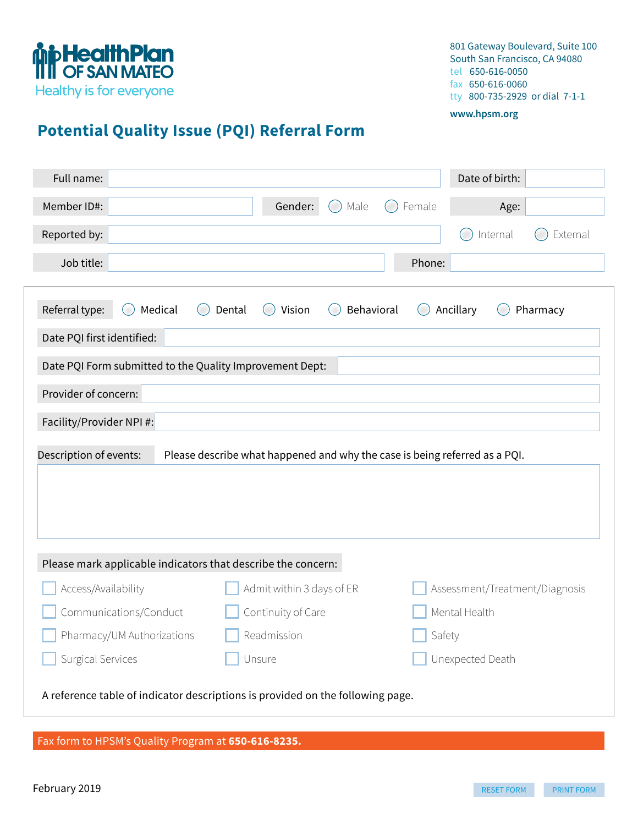

801 Gateway Boulevard, Suite 100 South San Francisco, CA 94080 tel 650-616-0050 fax 650-616-0060 tty 800-735-2929 or dial 7-1-1

#### **www.hpsm.org**

# **Potential Quality Issue (PQI) Referral Form**

| Full name:                                                                     |                                                                            | Date of birth:                                                  |
|--------------------------------------------------------------------------------|----------------------------------------------------------------------------|-----------------------------------------------------------------|
| Member ID#:                                                                    | Gender:<br>Male<br>$(\ )$                                                  | Female<br>Age:<br>$\sim$                                        |
| Reported by:                                                                   |                                                                            | Internal<br>External                                            |
| Job title:                                                                     |                                                                            | Phone:                                                          |
| Referral type:<br>Medical<br>(<br>Date PQI first identified:                   | Behavioral<br>Dental<br>Vision<br>(<br>$\overline{(\ }$                    | Ancillary<br>Pharmacy<br>$\begin{pmatrix} 1 \\ 1 \end{pmatrix}$ |
| Date PQI Form submitted to the Quality Improvement Dept:                       |                                                                            |                                                                 |
| Provider of concern:                                                           |                                                                            |                                                                 |
| Facility/Provider NPI #:                                                       |                                                                            |                                                                 |
| Description of events:                                                         | Please describe what happened and why the case is being referred as a PQI. |                                                                 |
| Please mark applicable indicators that describe the concern:                   |                                                                            |                                                                 |
| Access/Availability                                                            | Admit within 3 days of ER                                                  | Assessment/Treatment/Diagnosis                                  |
| Communications/Conduct                                                         | Continuity of Care                                                         | Mental Health                                                   |
| Pharmacy/UM Authorizations                                                     | Readmission                                                                | $\overline{\phantom{a}}$ Safety                                 |
| Surgical Services                                                              | Unsure                                                                     | Unexpected Death                                                |
| A reference table of indicator descriptions is provided on the following page. |                                                                            |                                                                 |

#### Fax form to HPSM's Quality Program at **650-616-8235.**